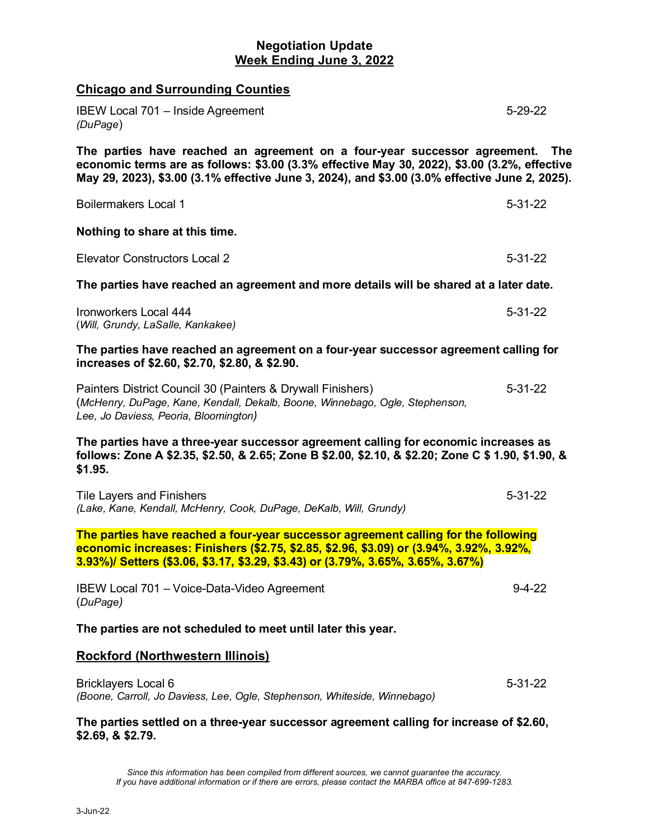# **Negotiation Update Week Ending June 3, 2022**

| <b>Chicago and Surrounding Counties</b>                                                                                                                                                                                                                                     |               |
|-----------------------------------------------------------------------------------------------------------------------------------------------------------------------------------------------------------------------------------------------------------------------------|---------------|
| <b>IBEW Local 701 - Inside Agreement</b><br>(DuPage)                                                                                                                                                                                                                        | $5 - 29 - 22$ |
| The parties have reached an agreement on a four-year successor agreement.<br>economic terms are as follows: \$3.00 (3.3% effective May 30, 2022), \$3.00 (3.2%, effective<br>May 29, 2023), \$3.00 (3.1% effective June 3, 2024), and \$3.00 (3.0% effective June 2, 2025). | <b>The</b>    |
| <b>Boilermakers Local 1</b>                                                                                                                                                                                                                                                 | $5 - 31 - 22$ |
| Nothing to share at this time.                                                                                                                                                                                                                                              |               |
| <b>Elevator Constructors Local 2</b>                                                                                                                                                                                                                                        | $5 - 31 - 22$ |
| The parties have reached an agreement and more details will be shared at a later date.                                                                                                                                                                                      |               |
| Ironworkers Local 444<br>(Will, Grundy, LaSalle, Kankakee)                                                                                                                                                                                                                  | $5 - 31 - 22$ |
| The parties have reached an agreement on a four-year successor agreement calling for<br>increases of \$2.60, \$2.70, \$2.80, & \$2.90.                                                                                                                                      |               |
| Painters District Council 30 (Painters & Drywall Finishers)<br>(McHenry, DuPage, Kane, Kendall, Dekalb, Boone, Winnebago, Ogle, Stephenson,<br>Lee, Jo Daviess, Peoria, Bloomington)                                                                                        | $5 - 31 - 22$ |
| The parties have a three-year successor agreement calling for economic increases as<br>follows: Zone A \$2.35, \$2.50, & 2.65; Zone B \$2.00, \$2.10, & \$2.20; Zone C \$ 1.90, \$1.90, &<br>\$1.95.                                                                        |               |
| Tile Layers and Finishers<br>(Lake, Kane, Kendall, McHenry, Cook, DuPage, DeKalb, Will, Grundy)                                                                                                                                                                             | $5 - 31 - 22$ |
| The parties have reached a four-year successor agreement calling for the following<br>economic increases: Finishers (\$2.75, \$2.85, \$2.96, \$3.09) or (3.94%, 3.92%, 3.92%,<br>3.93%)/ Setters (\$3.06, \$3.17, \$3.29, \$3.43) or (3.79%, 3.65%, 3.65%, 3.67%)           |               |
| IBEW Local 701 - Voice-Data-Video Agreement<br>(DuPage)                                                                                                                                                                                                                     | $9 - 4 - 22$  |
| The parties are not scheduled to meet until later this year.                                                                                                                                                                                                                |               |
| <b>Rockford (Northwestern Illinois)</b>                                                                                                                                                                                                                                     |               |
| <b>Bricklayers Local 6</b><br>(Boone, Carroll, Jo Daviess, Lee, Ogle, Stephenson, Whiteside, Winnebago)                                                                                                                                                                     | $5 - 31 - 22$ |
| The parties settled on a three-year successor agreement calling for increase of \$2.60,                                                                                                                                                                                     |               |

**\$2.69, & \$2.79.**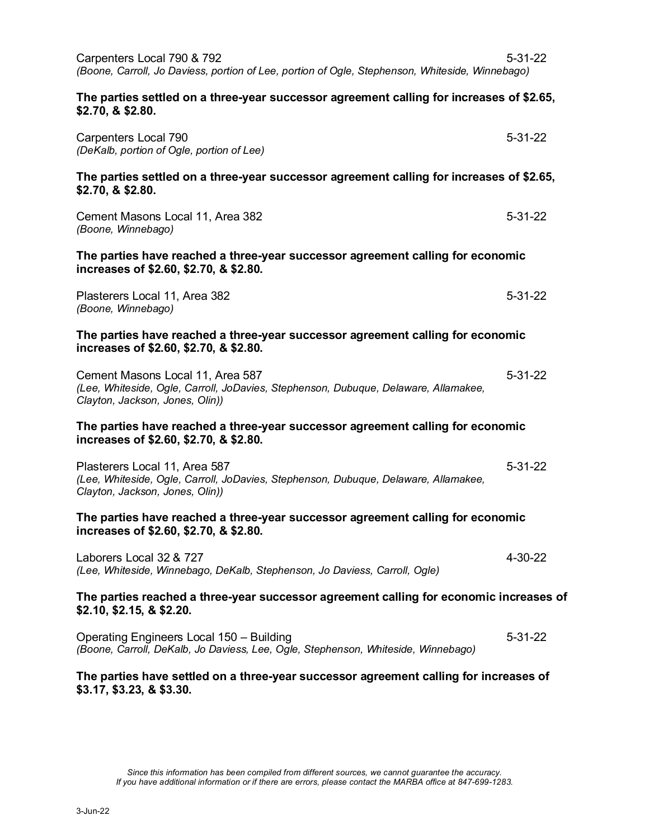| Carpenters Local 790 & 792<br>(Boone, Carroll, Jo Daviess, portion of Lee, portion of Ogle, Stephenson, Whiteside, Winnebago)                              | $5 - 31 - 22$ |
|------------------------------------------------------------------------------------------------------------------------------------------------------------|---------------|
| The parties settled on a three-year successor agreement calling for increases of \$2.65,<br>\$2.70, & \$2.80.                                              |               |
| Carpenters Local 790<br>(DeKalb, portion of Ogle, portion of Lee)                                                                                          | $5 - 31 - 22$ |
| The parties settled on a three-year successor agreement calling for increases of \$2.65,<br>\$2.70, & \$2.80.                                              |               |
| Cement Masons Local 11, Area 382<br>(Boone, Winnebago)                                                                                                     | $5 - 31 - 22$ |
| The parties have reached a three-year successor agreement calling for economic<br>increases of \$2.60, \$2.70, & \$2.80.                                   |               |
| Plasterers Local 11, Area 382<br>(Boone, Winnebago)                                                                                                        | $5 - 31 - 22$ |
| The parties have reached a three-year successor agreement calling for economic<br>increases of \$2.60, \$2.70, & \$2.80.                                   |               |
| Cement Masons Local 11, Area 587<br>(Lee, Whiteside, Ogle, Carroll, JoDavies, Stephenson, Dubuque, Delaware, Allamakee,<br>Clayton, Jackson, Jones, Olin)) | $5 - 31 - 22$ |
| The parties have reached a three-year successor agreement calling for economic<br>increases of \$2.60, \$2.70, & \$2.80.                                   |               |
| Plasterers Local 11, Area 587<br>(Lee, Whiteside, Ogle, Carroll, JoDavies, Stephenson, Dubuque, Delaware, Allamakee,<br>Clayton, Jackson, Jones, Olin))    | $5 - 31 - 22$ |
| The parties have reached a three-year successor agreement calling for economic<br>increases of \$2.60, \$2.70, & \$2.80.                                   |               |
| Laborers Local 32 & 727<br>(Lee, Whiteside, Winnebago, DeKalb, Stephenson, Jo Daviess, Carroll, Ogle)                                                      | 4-30-22       |
| The parties reached a three-year successor agreement calling for economic increases of<br>\$2.10, \$2.15, & \$2.20.                                        |               |
| Operating Engineers Local 150 - Building<br>(Boone, Carroll, DeKalb, Jo Daviess, Lee, Ogle, Stephenson, Whiteside, Winnebago)                              | $5 - 31 - 22$ |
| The parties have settled on a three-year successor agreement calling for increases of<br>\$3.17, \$3.23, & \$3.30.                                         |               |

*Since this information has been compiled from different sources, we cannot guarantee the accuracy. If you have additional information or if there are errors, please contact the MARBA office at 847-699-1283.*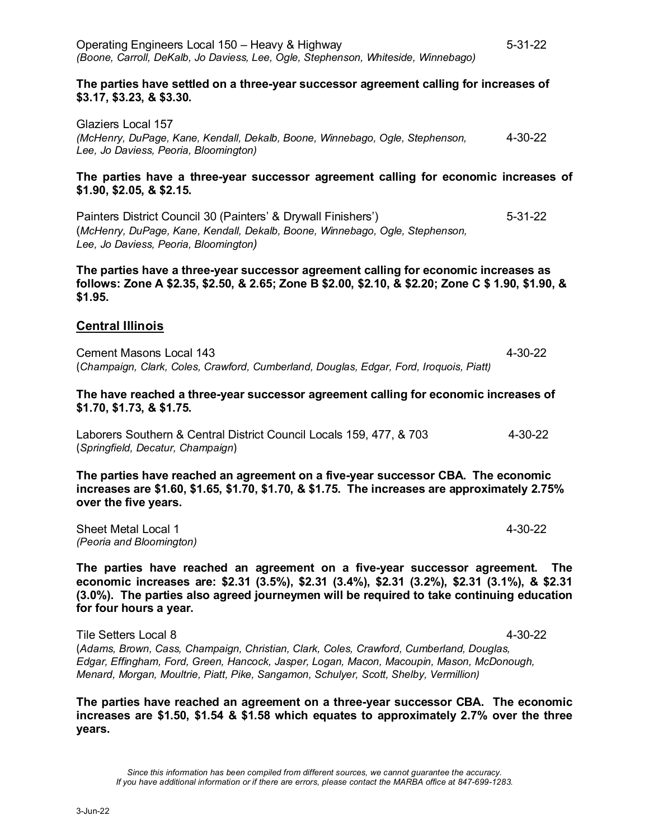#### **The parties have settled on a three-year successor agreement calling for increases of \$3.17, \$3.23, & \$3.30.**

Glaziers Local 157 *(McHenry, DuPage, Kane, Kendall, Dekalb, Boone, Winnebago, Ogle, Stephenson,* 4-30-22 *Lee, Jo Daviess, Peoria, Bloomington)*

### **The parties have a three-year successor agreement calling for economic increases of \$1.90, \$2.05, & \$2.15.**

Painters District Council 30 (Painters' & Drywall Finishers') 5-31-22 (*McHenry, DuPage, Kane, Kendall, Dekalb, Boone, Winnebago, Ogle, Stephenson, Lee, Jo Daviess, Peoria, Bloomington)* 

#### **The parties have a three-year successor agreement calling for economic increases as follows: Zone A \$2.35, \$2.50, & 2.65; Zone B \$2.00, \$2.10, & \$2.20; Zone C \$ 1.90, \$1.90, & \$1.95.**

## **Central Illinois**

Cement Masons Local 143 4-30-22 (*Champaign, Clark, Coles, Crawford, Cumberland, Douglas, Edgar, Ford, Iroquois, Piatt)* 

### **The have reached a three-year successor agreement calling for economic increases of \$1.70, \$1.73, & \$1.75.**

Laborers Southern & Central District Council Locals 159, 477, & 703 4-30-22 (*Springfield, Decatur, Champaign*)

**The parties have reached an agreement on a five-year successor CBA. The economic increases are \$1.60, \$1.65, \$1.70, \$1.70, & \$1.75. The increases are approximately 2.75% over the five years.** 

Sheet Metal Local 1 **4-30-22** *(Peoria and Bloomington)* 

**The parties have reached an agreement on a five-year successor agreement. The economic increases are: \$2.31 (3.5%), \$2.31 (3.4%), \$2.31 (3.2%), \$2.31 (3.1%), & \$2.31 (3.0%). The parties also agreed journeymen will be required to take continuing education for four hours a year.** 

Tile Setters Local 8 4-30-22 (*Adams, Brown, Cass, Champaign, Christian, Clark, Coles, Crawford, Cumberland, Douglas, Edgar, Effingham, Ford, Green, Hancock, Jasper, Logan, Macon, Macoupin, Mason, McDonough, Menard, Morgan, Moultrie, Piatt, Pike, Sangamon, Schulyer, Scott, Shelby, Vermillion)*

**The parties have reached an agreement on a three-year successor CBA. The economic increases are \$1.50, \$1.54 & \$1.58 which equates to approximately 2.7% over the three years.**

*Since this information has been compiled from different sources, we cannot guarantee the accuracy. If you have additional information or if there are errors, please contact the MARBA office at 847-699-1283.*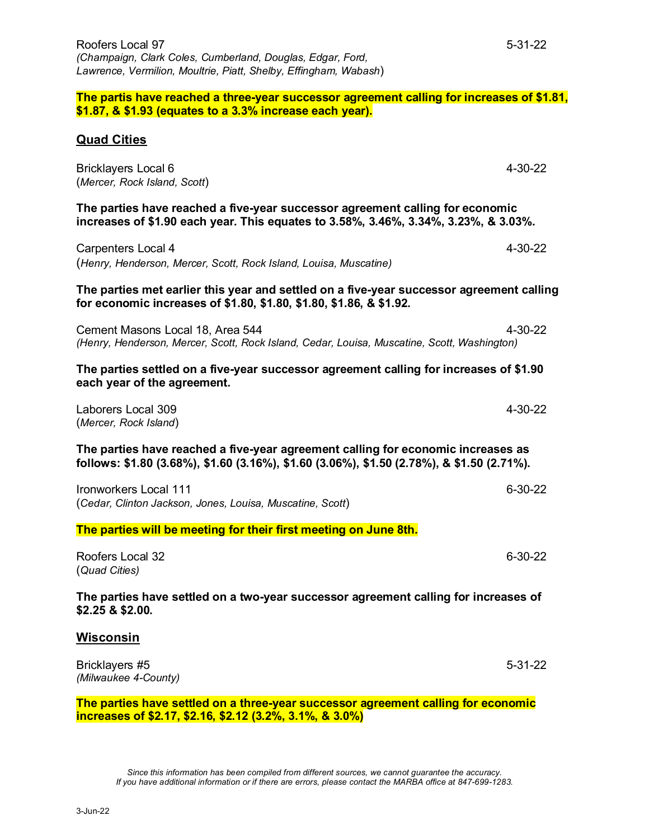**increases of \$2.17, \$2.16, \$2.12 (3.2%, 3.1%, & 3.0%)** 

3-Jun-22

**The partis have reached a three-year successor agreement calling for increases of \$1.81, \$1.87, & \$1.93 (equates to a 3.3% increase each year).** 

## **Quad Cities**

| <b>Bricklayers Local 6</b><br>(Mercer, Rock Island, Scott)                                                                                                                     | 4-30-22       |  |
|--------------------------------------------------------------------------------------------------------------------------------------------------------------------------------|---------------|--|
| The parties have reached a five-year successor agreement calling for economic<br>increases of \$1.90 each year. This equates to 3.58%, 3.46%, 3.34%, 3.23%, & 3.03%.           |               |  |
| Carpenters Local 4<br>(Henry, Henderson, Mercer, Scott, Rock Island, Louisa, Muscatine)                                                                                        | 4-30-22       |  |
| The parties met earlier this year and settled on a five-year successor agreement calling<br>for economic increases of \$1.80, \$1.80, \$1.80, \$1.86, & \$1.92.                |               |  |
| Cement Masons Local 18, Area 544<br>(Henry, Henderson, Mercer, Scott, Rock Island, Cedar, Louisa, Muscatine, Scott, Washington)                                                | $4 - 30 - 22$ |  |
| The parties settled on a five-year successor agreement calling for increases of \$1.90<br>each year of the agreement.                                                          |               |  |
| Laborers Local 309<br>(Mercer, Rock Island)                                                                                                                                    | $4 - 30 - 22$ |  |
| The parties have reached a five-year agreement calling for economic increases as<br>follows: \$1.80 (3.68%), \$1.60 (3.16%), \$1.60 (3.06%), \$1.50 (2.78%), & \$1.50 (2.71%). |               |  |
| <b>Ironworkers Local 111</b><br>(Cedar, Clinton Jackson, Jones, Louisa, Muscatine, Scott)                                                                                      | $6 - 30 - 22$ |  |
| The parties will be meeting for their first meeting on June 8th.                                                                                                               |               |  |
| Roofers Local 32<br>(Quad Cities)                                                                                                                                              | 6-30-22       |  |
| The parties have settled on a two-year successor agreement calling for increases of<br>\$2.25 & \$2.00.                                                                        |               |  |
| Wisconsin                                                                                                                                                                      |               |  |
| Bricklayers #5<br>(Milwaukee 4-County)                                                                                                                                         | $5 - 31 - 22$ |  |
| The parties have settled on a three-year successor agreement calling for economic                                                                                              |               |  |

*Since this information has been compiled from different sources, we cannot guarantee the accuracy. If you have additional information or if there are errors, please contact the MARBA office at 847-699-1283.*